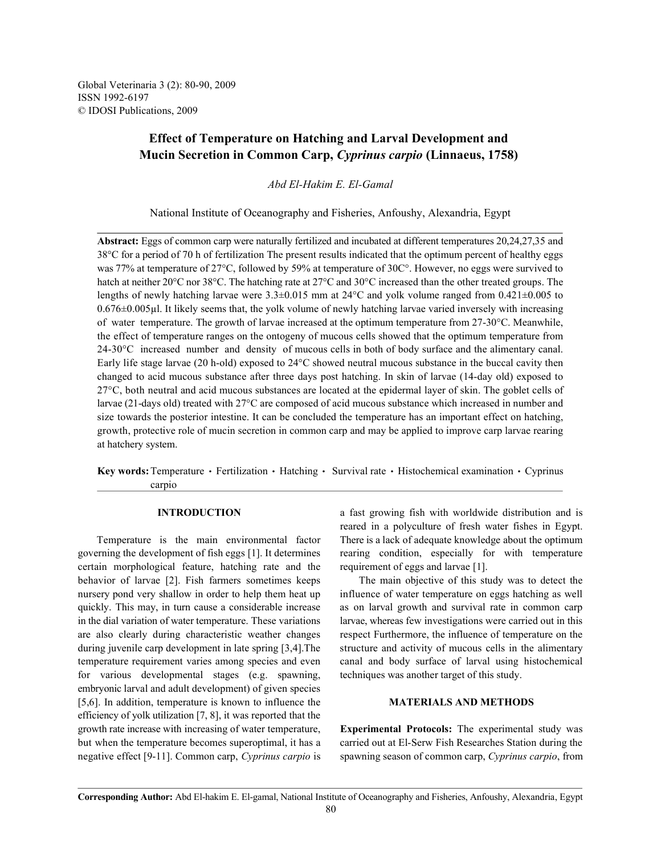Global Veterinaria 3 (2): 80-90, 2009 ISSN 1992-6197 © IDOSI Publications, 2009

# **Effect of Temperature on Hatching and Larval Development and Mucin Secretion in Common Carp,** *Cyprinus carpio* **(Linnaeus, 1758)**

*Abd El-Hakim E. El-Gamal*

National Institute of Oceanography and Fisheries, Anfoushy, Alexandria, Egypt

**Abstract:** Eggs of common carp were naturally fertilized and incubated at different temperatures 20,24,27,35 and 38°C for a period of 70 h of fertilization The present results indicated that the optimum percent of healthy eggs was 77% at temperature of 27°C, followed by 59% at temperature of 30C°. However, no eggs were survived to hatch at neither 20°C nor 38°C. The hatching rate at 27°C and 30°C increased than the other treated groups. The lengths of newly hatching larvae were 3.3±0.015 mm at 24°C and yolk volume ranged from 0.421±0.005 to 0.676±0.005µl. It likely seems that, the yolk volume of newly hatching larvae varied inversely with increasing of water temperature. The growth of larvae increased at the optimum temperature from 27-30°C. Meanwhile, the effect of temperature ranges on the ontogeny of mucous cells showed that the optimum temperature from 24-30°C increased number and density of mucous cells in both of body surface and the alimentary canal. Early life stage larvae (20 h-old) exposed to 24°C showed neutral mucous substance in the buccal cavity then changed to acid mucous substance after three days post hatching. In skin of larvae (14-day old) exposed to 27°C, both neutral and acid mucous substances are located at the epidermal layer of skin. The goblet cells of larvae (21-days old) treated with 27°C are composed of acid mucous substance which increased in number and size towards the posterior intestine. It can be concluded the temperature has an important effect on hatching, growth, protective role of mucin secretion in common carp and may be applied to improve carp larvae rearing at hatchery system.

Key words: Temperature · Fertilization · Hatching · Survival rate · Histochemical examination · Cyprinus carpio

governing the development of fish eggs [1]. It determines rearing condition, especially for with temperature certain morphological feature, hatching rate and the requirement of eggs and larvae [1]. behavior of larvae [2]. Fish farmers sometimes keeps The main objective of this study was to detect the nursery pond very shallow in order to help them heat up influence of water temperature on eggs hatching as well quickly. This may, in turn cause a considerable increase as on larval growth and survival rate in common carp in the dial variation of water temperature. These variations larvae, whereas few investigations were carried out in this are also clearly during characteristic weather changes respect Furthermore, the influence of temperature on the during juvenile carp development in late spring [3,4]. The structure and activity of mucous cells in the alimentary temperature requirement varies among species and even canal and body surface of larval using histochemical for various developmental stages (e.g. spawning, techniques was another target of this study. embryonic larval and adult development) of given species [5,6]. In addition, temperature is known to influence the **MATERIALS AND METHODS** efficiency of yolk utilization [7, 8], it was reported that the growth rate increase with increasing of water temperature, **Experimental Protocols:** The experimental study was but when the temperature becomes superoptimal, it has a carried out at El-Serw Fish Researches Station during the negative effect [9-11]. Common carp, *Cyprinus carpio* is spawning season of common carp, *Cyprinus carpio*, from

**INTRODUCTION** a fast growing fish with worldwide distribution and is Temperature is the main environmental factor There is a lack of adequate knowledge about the optimum reared in a polyculture of fresh water fishes in Egypt.

**Corresponding Author:** Abd El-hakim E. El-gamal, National Institute of Oceanography and Fisheries, Anfoushy, Alexandria, Egypt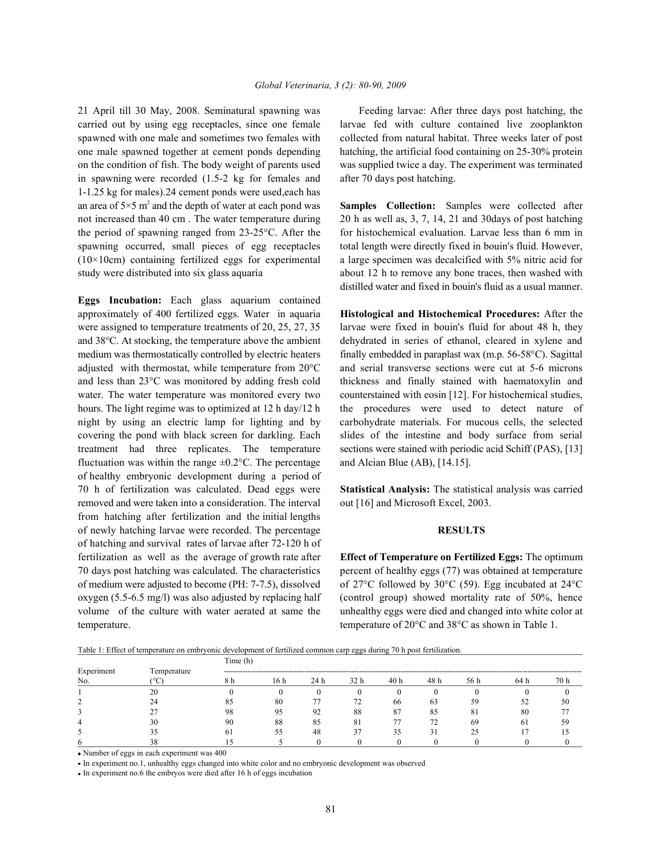carried out by using egg receptacles, since one female larvae fed with culture contained live zooplankton spawned with one male and sometimes two females with collected from natural habitat. Three weeks later of post one male spawned together at cement ponds depending hatching, the artificial food containing on 25-30% protein on the condition of fish. The body weight of parents used was supplied twice a day. The experiment was terminated in spawning were recorded (1.5-2 kg for females and after 70 days post hatching. 1-1.25 kg for males).24 cement ponds were used,each has an area of  $5\times5$  m<sup>2</sup> and the depth of water at each pond was **Samples Collection:** Samples were collected after not increased than 40 cm. The water temperature during 20 h as well as, 3, 7, 14, 21 and 30 days of post hatching the period of spawning ranged from 23-25°C. After the for histochemical evaluation. Larvae less than 6 mm in spawning occurred, small pieces of egg receptacles total length were directly fixed in bouin's fluid. However, (10×10cm) containing fertilized eggs for experimental a large specimen was decalcified with 5% nitric acid for study were distributed into six glass aquaria **about 12** h to remove any bone traces, then washed with

**Eggs Incubation:** Each glass aquarium contained approximately of 400 fertilized eggs. Water in aquaria **Histological and Histochemical Procedures:** After the were assigned to temperature treatments of 20, 25, 27, 35 larvae were fixed in bouin's fluid for about 48 h, they and 38°C. At stocking, the temperature above the ambient dehydrated in series of ethanol, cleared in xylene and medium was thermostatically controlled by electric heaters finally embedded in paraplast wax (m.p. 56-58°C). Sagittal adjusted with thermostat, while temperature from 20°C and serial transverse sections were cut at 5-6 microns and less than 23°C was monitored by adding fresh cold thickness and finally stained with haematoxylin and water. The water temperature was monitored every two counterstained with eosin [12]. For histochemical studies, hours. The light regime was to optimized at 12 h day/12 h the procedures were used to detect nature of night by using an electric lamp for lighting and by carbohydrate materials. For mucous cells, the selected covering the pond with black screen for darkling. Each slides of the intestine and body surface from serial treatment had three replicates. The temperature sections were stained with periodic acid Schiff (PAS), [13] fluctuation was within the range  $\pm 0.2$ °C. The percentage and Alcian Blue (AB), [14.15]. of healthy embryonic development during a period of 70 h of fertilization was calculated. Dead eggs were **Statistical Analysis:** The statistical analysis was carried removed and were taken into a consideration. The interval out [16] and Microsoft Excel, 2003. from hatching after fertilization and the initial lengths of newly hatching larvae were recorded. The percentage **RESULTS** of hatching and survival rates of larvae after 72-120 h of fertilization as well as the average of growth rate after **Effect of Temperature on Fertilized Eggs:** The optimum 70 days post hatching was calculated. The characteristics percent of healthy eggs (77) was obtained at temperature of medium were adjusted to become (PH: 7-7.5), dissolved of 27°C followed by 30°C (59). Egg incubated at 24°C oxygen (5.5-6.5 mg/l) was also adjusted by replacing half (control group) showed mortality rate of 50%, hence volume of the culture with water aerated at same the unhealthy eggs were died and changed into white color at temperature. temperature of 20°C and 38°C as shown in Table 1.

21 April till 30 May, 2008. Seminatural spawning was Feeding larvae: After three days post hatching, the

distilled water and fixed in bouin's fluid as a usual manner.

Table 1: Effect of temperature on embryonic development of fertilized common carp eggs during 70 h post fertilization.

|            |             | Time (h)               |      |      |      |     |      |      |      |      |
|------------|-------------|------------------------|------|------|------|-----|------|------|------|------|
| Experiment | Temperature | ---------------------- |      |      |      |     |      |      |      |      |
| No.        |             | 8 h                    | 16 h | 24 h | 32 h | 40h | 48 h | 56 h | 64 h | 70 h |
|            | 20          |                        |      |      |      |     |      |      |      |      |
|            | 24          | 85                     | 80   |      |      | 66  | 63   | 59   | 52   | 50   |
|            |             | 98                     | 95   | 92   | 88   | 87  | 85   | 81   | 80   |      |
| 4          | 30          | 90                     | 88   | 85   | 81   |     | 72   | 69   | 61   |      |
|            |             | 61                     |      | 48   | 37   | 35  | 31   |      |      |      |
| O          |             |                        |      |      |      |     |      |      |      |      |

Number of eggs in each experiment was 400

In experiment no.1, unhealthy eggs changed into white color and no embryonic development was observed

In experiment no.6 the embryos were died after 16 h of eggs incubation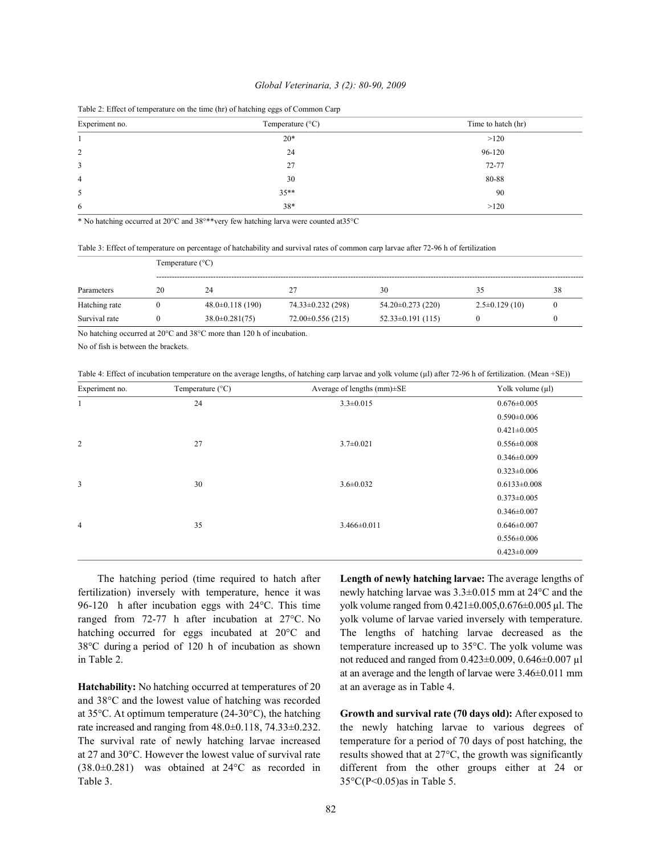### *Global Veterinaria, 3 (2): 80-90, 2009*

| Experiment no. | Temperature $(^{\circ}C)$ | Time to hatch (hr) |
|----------------|---------------------------|--------------------|
|                | $20*$                     | >120               |
| 2              | 24                        | 96-120             |
| 3              | 27                        | 72-77              |
| $\overline{4}$ | 30                        | 80-88              |
| 5              | $35**$                    | 90                 |
| 6              | 38*                       | >120               |

\* No hatching occurred at 20°C and 38°\*\*very few hatching larva were counted at35°C

Table 3: Effect of temperature on percentage of hatchability and survival rates of common carp larvae after 72-96 h of fertilization

|               |    | Temperature $(^{\circ}C)$ |                         |                         |                   |  |  |  |  |  |
|---------------|----|---------------------------|-------------------------|-------------------------|-------------------|--|--|--|--|--|
| Parameters    | 20 | 24                        | 27                      | 30                      |                   |  |  |  |  |  |
| Hatching rate |    | $48.0\pm0.118(190)$       | $74.33 \pm 0.232$ (298) | $54.20 \pm 0.273$ (220) | $2.5\pm0.129(10)$ |  |  |  |  |  |
| Survival rate |    | $38.0 \pm 0.281(75)$      | $72.00\pm0.556(215)$    | $52.33 \pm 0.191$ (115) |                   |  |  |  |  |  |

No hatching occurred at 20°C and 38°C more than 120 h of incubation.

No of fish is between the brackets.

Table 4: Effect of incubation temperature on the average lengths, of hatching carp larvae and yolk volume (µl) after 72-96 h of fertilization. (Mean +SE))

| Experiment no. | Temperature $(^{\circ}C)$ | Average of lengths $(mm) \pm SE$ | Yolk volume $(\mu l)$ |
|----------------|---------------------------|----------------------------------|-----------------------|
| 1              | 24                        | $3.3 \pm 0.015$                  | $0.676 \pm 0.005$     |
|                |                           |                                  | $0.590 \pm 0.006$     |
|                |                           |                                  | $0.421 \pm 0.005$     |
| $\overline{c}$ | 27                        | $3.7 \pm 0.021$                  | $0.556 \pm 0.008$     |
|                |                           |                                  | $0.346 \pm 0.009$     |
|                |                           |                                  | $0.323 \pm 0.006$     |
| 3              | 30                        | $3.6 \pm 0.032$                  | $0.6133 \pm 0.008$    |
|                |                           |                                  | $0.373 \pm 0.005$     |
|                |                           |                                  | $0.346 \pm 0.007$     |
| $\overline{4}$ | 35                        | $3.466 \pm 0.011$                | $0.646 \pm 0.007$     |
|                |                           |                                  | $0.556 \pm 0.006$     |
|                |                           |                                  | $0.423 \pm 0.009$     |

fertilization) inversely with temperature, hence it was newly hatching larvae was 3.3±0.015 mm at 24°C and the 96-120 h after incubation eggs with 24°C. This time yolk volume ranged from  $0.421 \pm 0.005$ ,  $0.676 \pm 0.005$  µl. The ranged from 72-77 h after incubation at 27°C. No yolk volume of larvae varied inversely with temperature. hatching occurred for eggs incubated at 20°C and The lengths of hatching larvae decreased as the 38°C during a period of 120 h of incubation as shown temperature increased up to 35°C. The yolk volume was in Table 2. not reduced and ranged from  $0.423 \pm 0.009$ ,  $0.646 \pm 0.007$  µl

Hatchability: No hatching occurred at temperatures of 20 at an average as in Table 4. and 38°C and the lowest value of hatching was recorded at 35°C. At optimum temperature (24-30°C), the hatching **Growth and survival rate (70 days old):** After exposed to rate increased and ranging from 48.0±0.118, 74.33±0.232. the newly hatching larvae to various degrees of The survival rate of newly hatching larvae increased temperature for a period of 70 days of post hatching, the at 27 and 30 $^{\circ}$ C. However the lowest value of survival rate results showed that at 27 $^{\circ}$ C, the growth was significantly (38.0±0.281) was obtained at 24°C as recorded in different from the other groups either at 24 or Table 3.  $35^{\circ}C(P<0.05)$ as in Table 5.

The hatching period (time required to hatch after **Length of newly hatching larvae:** The average lengths of at an average and the length of larvae were 3.46±0.011 mm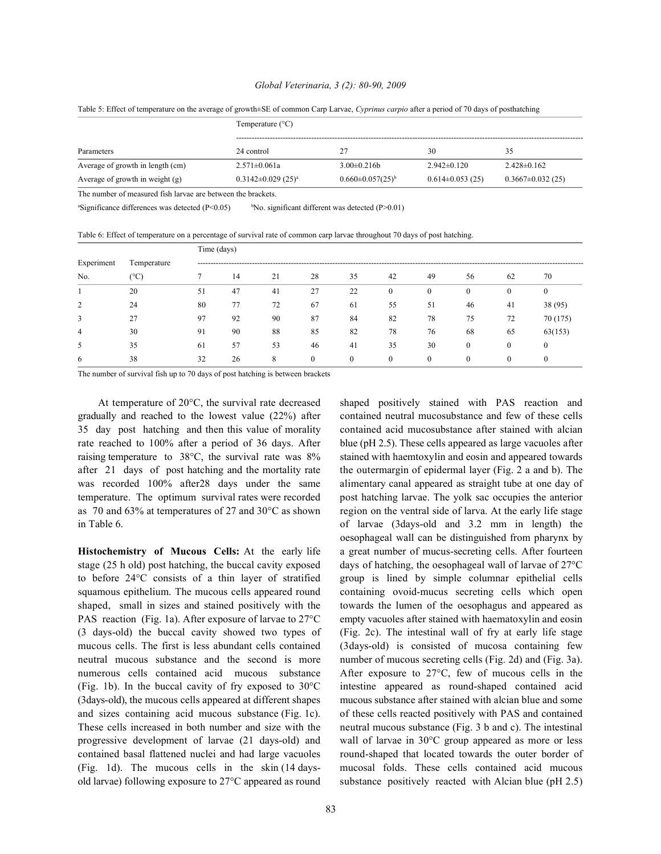### *Global Veterinaria, 3 (2): 80-90, 2009*

Table 5: Effect of temperature on the average of growth±SE of common Carp Larvae, *Cyprinus carpio* after a period of 70 days of posthatching

|                                                             | Temperature $(^{\circ}C)$            |                           |                       |                        |  |  |  |  |  |
|-------------------------------------------------------------|--------------------------------------|---------------------------|-----------------------|------------------------|--|--|--|--|--|
| Parameters                                                  | 24 control                           |                           | 30                    | 35                     |  |  |  |  |  |
| Average of growth in length (cm)                            | $2.571 \pm 0.061a$                   | $3.00\pm0.216h$           | $2.942 \pm 0.120$     | $2.428 \pm 0.162$      |  |  |  |  |  |
| Average of growth in weight $(g)$                           | $0.3142 \pm 0.029$ (25) <sup>a</sup> | $0.660 \pm 0.057(25)^{b}$ | $0.614 \pm 0.053(25)$ | $0.3667 \pm 0.032(25)$ |  |  |  |  |  |
| The number of measured fish larvae are between the brackets |                                      |                           |                       |                        |  |  |  |  |  |

<sup>a</sup>Significance differences was detected (P<0.05) <sup>b</sup>No. significant different was detected (P>0.01)

Table 6: Effect of temperature on a percentage of survival rate of common carp larvae throughout 70 days of post hatching.

|            | Temperature | Time (days) |    |    |          |              |              |              |              |              |          |
|------------|-------------|-------------|----|----|----------|--------------|--------------|--------------|--------------|--------------|----------|
| Experiment |             |             |    |    |          |              |              |              |              |              |          |
| No.        | (°C         |             | 14 | 21 | 28       | 35           | 42           | 49           | 56           | 62           | 70       |
|            | 20          | 51          | 47 | 41 | 27       | 22           | $\mathbf{0}$ | $\mathbf{0}$ | $\mathbf{0}$ | $\mathbf{0}$ |          |
| 2          | 24          | 80          | 77 | 72 | 67       | 61           | 55           | 51           | 46           | 41           | 38 (95)  |
| 3          | 27          | 97          | 92 | 90 | 87       | 84           | 82           | 78           | 75           | 72           | 70 (175) |
| 4          | 30          | 91          | 90 | 88 | 85       | 82           | 78           | 76           | 68           | 65           | 63(153)  |
| 5          | 35          | 61          | 57 | 53 | 46       | 41           | 35           | 30           | $\theta$     | $\theta$     |          |
| 6          | 38          | 32          | 26 | 8  | $\theta$ | $\mathbf{0}$ | $\mathbf{0}$ | $\Omega$     | $\theta$     | $\Omega$     |          |

The number of survival fish up to 70 days of post hatching is between brackets

At temperature of 20°C, the survival rate decreased shaped positively stained with PAS reaction and gradually and reached to the lowest value (22%) after contained neutral mucosubstance and few of these cells 35 day post hatching and then this value of morality contained acid mucosubstance after stained with alcian rate reached to 100% after a period of 36 days. After blue (pH 2.5). These cells appeared as large vacuoles after raising temperature to 38°C, the survival rate was 8% stained with haemtoxylin and eosin and appeared towards after 21 days of post hatching and the mortality rate the outermargin of epidermal layer (Fig. 2 a and b). The was recorded 100% after28 days under the same alimentary canal appeared as straight tube at one day of temperature. The optimum survival rates were recorded post hatching larvae. The yolk sac occupies the anterior as 70 and 63% at temperatures of 27 and 30°C as shown region on the ventral side of larva. At the early life stage in Table 6. of larvae (3days-old and 3.2 mm in length) the

stage (25 h old) post hatching, the buccal cavity exposed days of hatching, the oesophageal wall of larvae of 27°C to before 24°C consists of a thin layer of stratified group is lined by simple columnar epithelial cells squamous epithelium. The mucous cells appeared round containing ovoid-mucus secreting cells which open shaped, small in sizes and stained positively with the towards the lumen of the oesophagus and appeared as PAS reaction (Fig. 1a). After exposure of larvae to 27°C empty vacuoles after stained with haematoxylin and eosin (3 days-old) the buccal cavity showed two types of (Fig. 2c). The intestinal wall of fry at early life stage mucous cells. The first is less abundant cells contained (3days-old) is consisted of mucosa containing few neutral mucous substance and the second is more number of mucous secreting cells (Fig. 2d) and (Fig. 3a). numerous cells contained acid mucous substance After exposure to 27°C, few of mucous cells in the (Fig. 1b). In the buccal cavity of fry exposed to 30°C intestine appeared as round-shaped contained acid (3days-old), the mucous cells appeared at different shapes mucous substance after stained with alcian blue and some and sizes containing acid mucous substance (Fig. 1c). of these cells reacted positively with PAS and contained These cells increased in both number and size with the neutral mucous substance (Fig. 3 b and c). The intestinal progressive development of larvae (21 days-old) and wall of larvae in 30°C group appeared as more or less contained basal flattened nuclei and had large vacuoles round-shaped that located towards the outer border of (Fig. 1d). The mucous cells in the skin (14 days- mucosal folds. These cells contained acid mucous old larvae) following exposure to 27°C appeared as round substance positively reacted with Alcian blue (pH 2.5)

**Histochemistry of Mucous Cells:** At the early life a great number of mucus-secreting cells. After fourteen oesophageal wall can be distinguished from pharynx by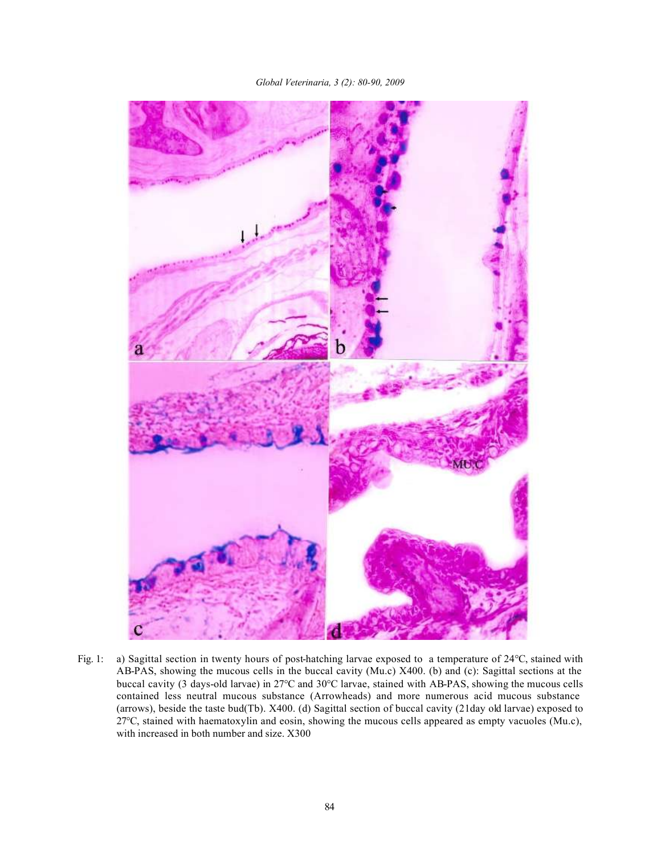*Global Veterinaria, 3 (2): 80-90, 2009*



Fig. 1: a) Sagittal section in twenty hours of post-hatching larvae exposed to a temperature of 24°C, stained with AB-PAS, showing the mucous cells in the buccal cavity (Mu.c) X400. (b) and (c): Sagittal sections at the buccal cavity (3 days-old larvae) in 27°C and 30°C larvae, stained with AB-PAS, showing the mucous cells contained less neutral mucous substance (Arrowheads) and more numerous acid mucous substance (arrows), beside the taste bud(Tb). X400. (d) Sagittal section of buccal cavity (21day old larvae) exposed to 27°C, stained with haematoxylin and eosin, showing the mucous cells appeared as empty vacuoles (Mu.c), with increased in both number and size. X300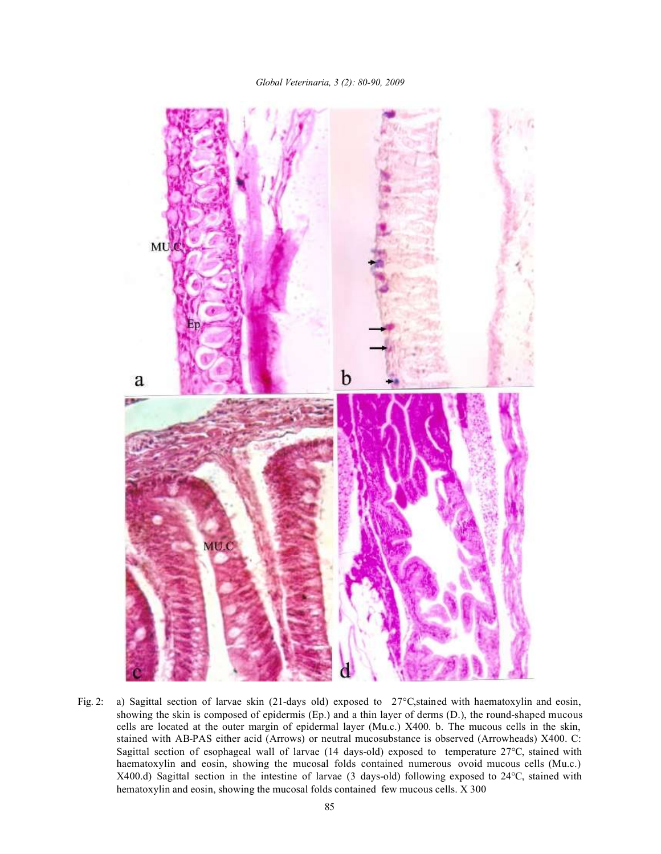## *Global Veterinaria, 3 (2): 80-90, 2009*



Fig. 2: a) Sagittal section of larvae skin (21-days old) exposed to 27°C, stained with haematoxylin and eosin, showing the skin is composed of epidermis (Ep.) and a thin layer of derms (D.), the round-shaped mucous cells are located at the outer margin of epidermal layer (Mu.c.) X400. b. The mucous cells in the skin, stained with AB-PAS either acid (Arrows) or neutral mucosubstance is observed (Arrowheads) X400. C: Sagittal section of esophageal wall of larvae (14 days-old) exposed to temperature 27°C, stained with haematoxylin and eosin, showing the mucosal folds contained numerous ovoid mucous cells (Mu.c.) X400.d) Sagittal section in the intestine of larvae (3 days-old) following exposed to 24°C, stained with hematoxylin and eosin, showing the mucosal folds contained few mucous cells. X 300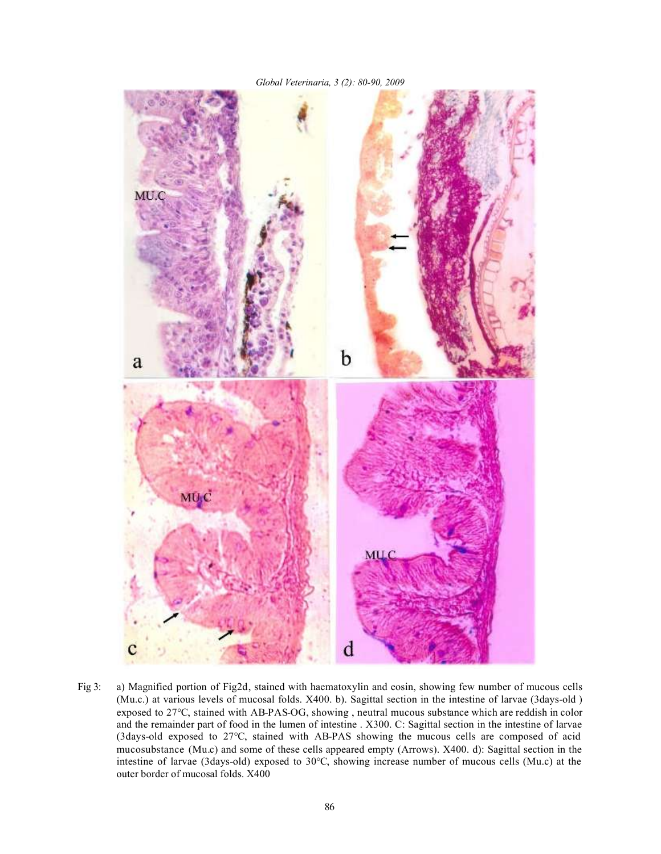

Fig 3: a) Magnified portion of Fig2d, stained with haematoxylin and eosin, showing few number of mucous cells (Mu.c.) at various levels of mucosal folds. X400. b). Sagittal section in the intestine of larvae (3days-old ) exposed to 27°C, stained with AB-PAS-OG, showing , neutral mucous substance which are reddish in color and the remainder part of food in the lumen of intestine . X300. C: Sagittal section in the intestine of larvae (3days-old exposed to 27°C, stained with AB-PAS showing the mucous cells are composed of acid mucosubstance (Mu.c) and some of these cells appeared empty (Arrows). X400. d): Sagittal section in the intestine of larvae (3days-old) exposed to 30°C, showing increase number of mucous cells (Mu.c) at the outer border of mucosal folds. X400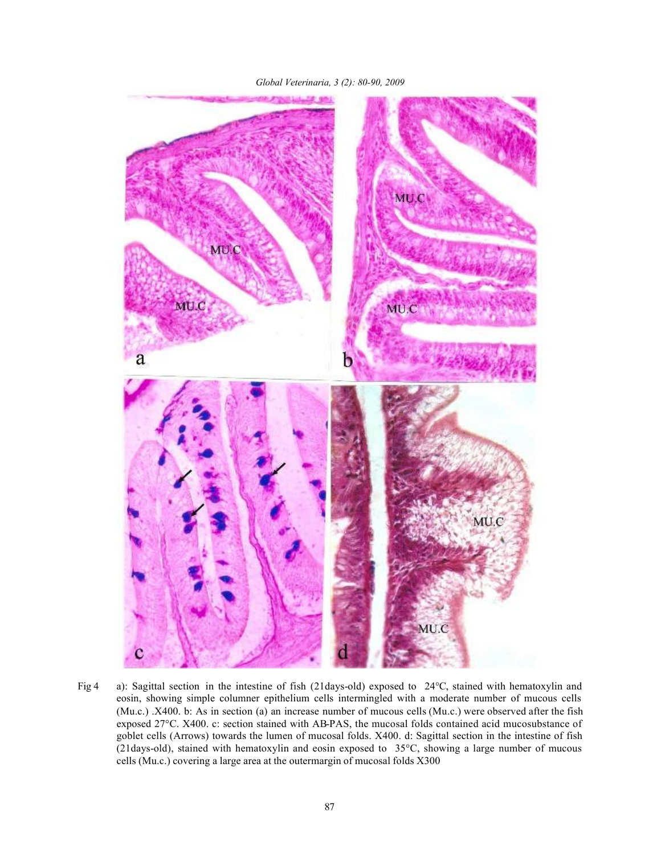



Fig 4 a): Sagittal section in the intestine of fish (21days-old) exposed to 24°C, stained with hematoxylin and eosin, showing simple columner epithelium cells intermingled with a moderate number of mucous cells (Mu.c.) .X400. b: As in section (a) an increase number of mucous cells (Mu.c.) were observed after the fish exposed 27°C. X400. c: section stained with AB-PAS, the mucosal folds contained acid mucosubstance of goblet cells (Arrows) towards the lumen of mucosal folds. X400. d: Sagittal section in the intestine of fish (21days-old), stained with hematoxylin and eosin exposed to 35°C, showing a large number of mucous cells (Mu.c.) covering a large area at the outermargin of mucosal folds X300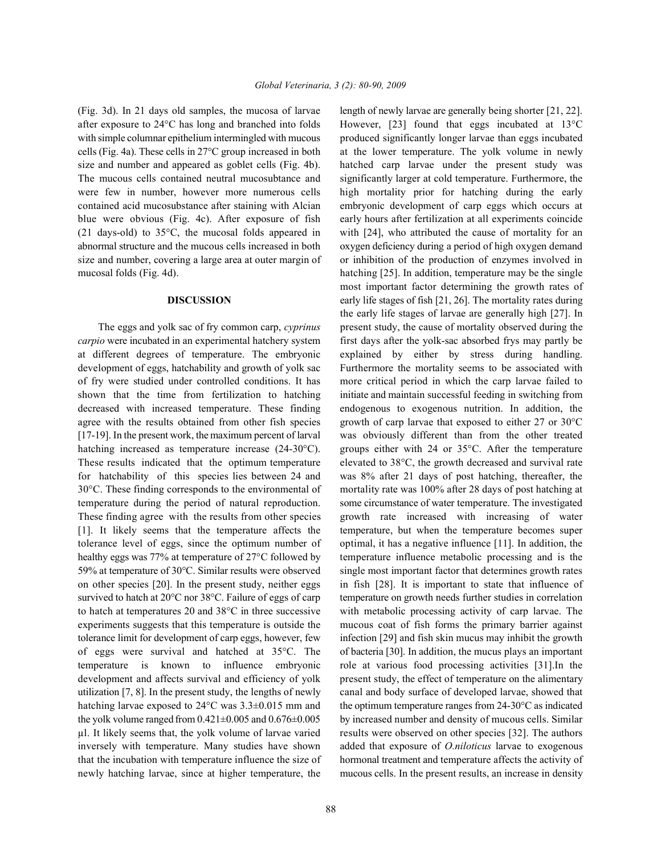after exposure to 24°C has long and branched into folds However, [23] found that eggs incubated at 13°C with simple columnar epithelium intermingled with mucous produced significantly longer larvae than eggs incubated cells (Fig. 4a). These cells in 27°C group increased in both at the lower temperature. The yolk volume in newly size and number and appeared as goblet cells (Fig. 4b). hatched carp larvae under the present study was The mucous cells contained neutral mucosubtance and significantly larger at cold temperature. Furthermore, the were few in number, however more numerous cells high mortality prior for hatching during the early contained acid mucosubstance after staining with Alcian embryonic development of carp eggs which occurs at blue were obvious (Fig. 4c). After exposure of fish early hours after fertilization at all experiments coincide (21 days-old) to 35°C, the mucosal folds appeared in with [24], who attributed the cause of mortality for an abnormal structure and the mucous cells increased in both oxygen deficiency during a period of high oxygen demand size and number, covering a large area at outer margin of or inhibition of the production of enzymes involved in mucosal folds (Fig. 4d). hatching [25]. In addition, temperature may be the single

*carpio* were incubated in an experimental hatchery system first days after the yolk-sac absorbed frys may partly be at different degrees of temperature. The embryonic explained by either by stress during handling. development of eggs, hatchability and growth of yolk sac Furthermore the mortality seems to be associated with of fry were studied under controlled conditions. It has more critical period in which the carp larvae failed to shown that the time from fertilization to hatching initiate and maintain successful feeding in switching from decreased with increased temperature. These finding endogenous to exogenous nutrition. In addition, the agree with the results obtained from other fish species growth of carp larvae that exposed to either 27 or 30°C [17-19]. In the present work, the maximum percent of larval was obviously different than from the other treated hatching increased as temperature increase (24-30°C). groups either with 24 or 35°C. After the temperature These results indicated that the optimum temperature elevated to 38°C, the growth decreased and survival rate for hatchability of this species lies between 24 and was 8% after 21 days of post hatching, thereafter, the 30°C. These finding corresponds to the environmental of mortality rate was 100% after 28 days of post hatching at temperature during the period of natural reproduction. some circumstance of water temperature. The investigated These finding agree with the results from other species growth rate increased with increasing of water [1]. It likely seems that the temperature affects the temperature, but when the temperature becomes super tolerance level of eggs, since the optimum number of optimal, it has a negative influence [11]. In addition, the healthy eggs was 77% at temperature of 27°C followed by temperature influence metabolic processing and is the 59% at temperature of 30°C. Similar results were observed single most important factor that determines growth rates on other species [20]. In the present study, neither eggs in fish [28]. It is important to state that influence of survived to hatch at 20°C nor 38°C. Failure of eggs of carp temperature on growth needs further studies in correlation to hatch at temperatures 20 and 38°C in three successive with metabolic processing activity of carp larvae. The experiments suggests that this temperature is outside the mucous coat of fish forms the primary barrier against tolerance limit for development of carp eggs, however, few infection [29] and fish skin mucus may inhibit the growth of eggs were survival and hatched at  $35^{\circ}$ C. The of bacteria [30]. In addition, the mucus plays an important temperature is known to influence embryonic role at various food processing activities [31].In the development and affects survival and efficiency of yolk present study, the effect of temperature on the alimentary utilization [7, 8]. In the present study, the lengths of newly canal and body surface of developed larvae, showed that hatching larvae exposed to 24°C was 3.3±0.015 mm and the optimum temperature ranges from 24-30°C as indicated the yolk volume ranged from  $0.421 \pm 0.005$  and  $0.676 \pm 0.005$  by increased number and density of mucous cells. Similar µl. It likely seems that, the yolk volume of larvae varied results were observed on other species [32]. The authors inversely with temperature. Many studies have shown added that exposure of *O.niloticus* larvae to exogenous that the incubation with temperature influence the size of hormonal treatment and temperature affects the activity of newly hatching larvae, since at higher temperature, the mucous cells. In the present results, an increase in density

(Fig. 3d). In 21 days old samples, the mucosa of larvae length of newly larvae are generally being shorter [21, 22]. **DISCUSSION** early life stages of fish [21, 26]. The mortality rates during The eggs and yolk sac of fry common carp, *cyprinus* present study, the cause of mortality observed during the most important factor determining the growth rates of the early life stages of larvae are generally high [27]. In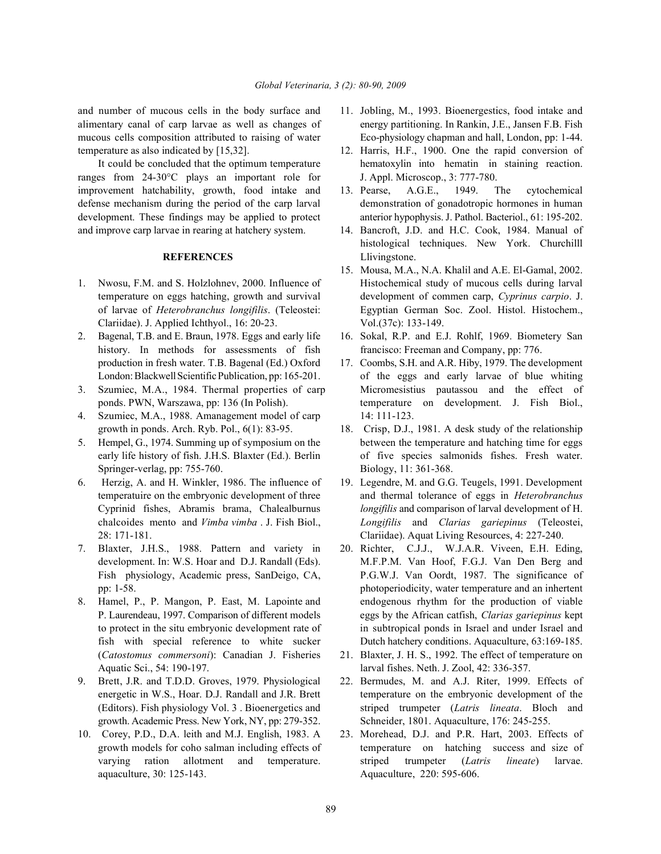alimentary canal of carp larvae as well as changes of energy partitioning. In Rankin, J.E., Jansen F.B. Fish mucous cells composition attributed to raising of water Eco-physiology chapman and hall, London, pp: 1-44. temperature as also indicated by [15,32]. 12. Harris, H.F., 1900. One the rapid conversion of

ranges from 24-30°C plays an important role for J. Appl. Microscop., 3: 777-780. improvement hatchability, growth, food intake and 13. Pearse, A.G.E., 1949. The cytochemical defense mechanism during the period of the carp larval demonstration of gonadotropic hormones in human development. These findings may be applied to protect anterior hypophysis. J. Pathol. Bacteriol., 61: 195-202. and improve carp larvae in rearing at hatchery system. 14. Bancroft, J.D. and H.C. Cook, 1984. Manual of

- Clariidae). J. Applied Ichthyol., 16: 20-23. Vol.(37c): 133-149.
- 2. Bagenal, T.B. and E. Braun, 1978. Eggs and early life 16. Sokal, R.P. and E.J. Rohlf, 1969. Biometery San history. In methods for assessments of fish francisco: Freeman and Company, pp: 776. production in fresh water. T.B. Bagenal (Ed.) Oxford 17. Coombs, S.H. and A.R. Hiby, 1979. The development
- 
- 4. Szumiec, M.A., 1988. Amanagement model of carp 14: 111-123.
- Springer-verlag, pp: 755-760. Biology, 11: 361-368.
- 
- 7. Blaxter, J.H.S., 1988. Pattern and variety in 20. Richter, C.J.J., W.J.A.R. Viveen, E.H. Eding,
- Aquatic Sci., 54: 190-197. larval fishes. Neth. J. Zool, 42: 336-357.
- 9. Brett, J.R. and T.D.D. Groves, 1979. Physiological 22. Bermudes, M. and A.J. Riter, 1999. Effects of growth. Academic Press. New York, NY, pp: 279-352. Schneider, 1801. Aquaculture, 176: 245-255.
- aquaculture, 30: 125-143. Aquaculture, 220: 595-606.
- and number of mucous cells in the body surface and 11. Jobling, M., 1993. Bioenergestics, food intake and
	- It could be concluded that the optimum temperature hematoxylin into hematin in staining reaction.
		-
		- **REFERENCES** Llivingstone. histological techniques. New York. Churchilll
- 15. Mousa, M.A., N.A. Khalil and A.E. El-Gamal, 2002. 1. Nwosu, F.M. and S. Holzlohnev, 2000. Influence of Histochemical study of mucous cells during larval temperature on eggs hatching, growth and survival development of commen carp, *Cyprinus carpio*. J. of larvae of *Heterobranchus longifilis*. (Teleostei: Egyptian German Soc. Zool. Histol. Histochem.,
	-
- London: Blackwell Scientific Publication, pp: 165-201. of the eggs and early larvae of blue whiting 3. Szumiec, M.A., 1984. Thermal properties of carp Micromesistius pautassou and the effect of ponds. PWN, Warszawa, pp: 136 (In Polish). temperature on development. J. Fish Biol.,
- growth in ponds. Arch. Ryb. Pol., 6(1): 83-95. 18. Crisp, D.J., 1981. A desk study of the relationship 5. Hempel, G., 1974. Summing up of symposium on the between the temperature and hatching time for eggs early life history of fish. J.H.S. Blaxter (Ed.). Berlin of five species salmonids fishes. Fresh water.
- 6. Herzig, A. and H. Winkler, 1986. The influence of 19. Legendre, M. and G.G. Teugels, 1991. Development temperatuire on the embryonic development of three and thermal tolerance of eggs in *Heterobranchus* Cyprinid fishes, Abramis brama, Chalealburnus *longifilis* and comparison of larval development of H. chalcoides mento and *Vimba vimba* . J. Fish Biol., *Longifilis* and *Clarias gariepinus* (Teleostei, 28: 171-181. Clariidae). Aquat Living Resources, 4: 227-240.
- development. In: W.S. Hoar and D.J. Randall (Eds). M.F.P.M. Van Hoof, F.G.J. Van Den Berg and Fish physiology, Academic press, SanDeigo, CA, P.G.W.J. Van Oordt, 1987. The significance of pp: 1-58. photoperiodicity, water temperature and an inhertent 8. Hamel, P., P. Mangon, P. East, M. Lapointe and endogenous rhythm for the production of viable P. Laurendeau, 1997. Comparison of different models eggs by the African catfish, *Clarias gariepinus* kept to protect in the situ embryonic development rate of in subtropical ponds in Israel and under Israel and fish with special reference to white sucker Dutch hatchery conditions. Aquaculture, 63:169-185.
	- (*Catostomus commersoni*): Canadian J. Fisheries 21. Blaxter, J. H. S., 1992. The effect of temperature on
	- energetic in W.S., Hoar. D.J. Randall and J.R. Brett temperature on the embryonic development of the (Editors). Fish physiology Vol. 3 . Bioenergetics and striped trumpeter (*Latris lineata*. Bloch and
- 10. Corey, P.D., D.A. leith and M.J. English, 1983. A 23. Morehead, D.J. and P.R. Hart, 2003. Effects of growth models for coho salman including effects of temperature on hatching success and size of varying ration allotment and temperature. striped trumpeter (*Latris lineate*) larvae.